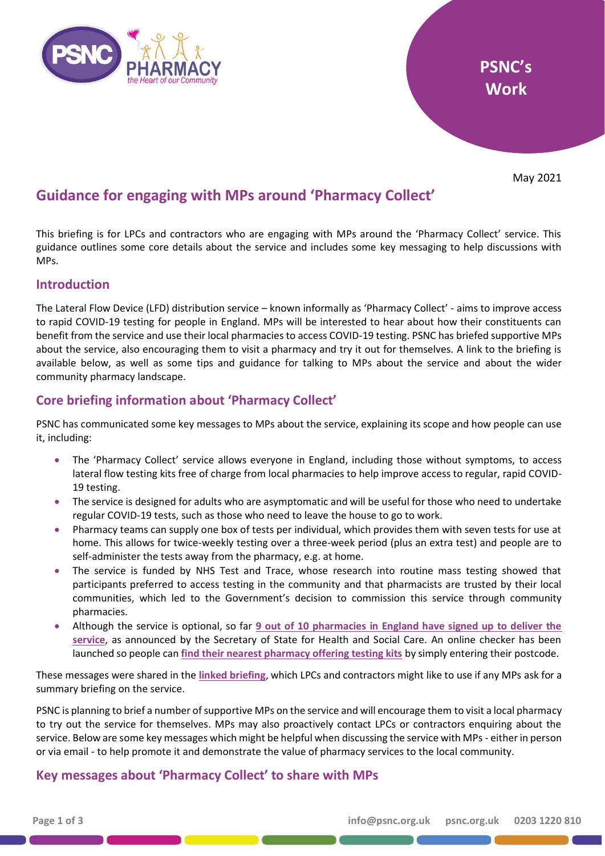

May 2021

# **Guidance for engaging with MPs around 'Pharmacy Collect'**

This briefing is for LPCs and contractors who are engaging with MPs around the 'Pharmacy Collect' service. This guidance outlines some core details about the service and includes some key messaging to help discussions with MPs.

# **Introduction**

The Lateral Flow Device (LFD) distribution service – known informally as 'Pharmacy Collect' - aims to improve access to rapid COVID-19 testing for people in England. MPs will be interested to hear about how their constituents can benefit from the service and use their local pharmacies to access COVID-19 testing. PSNC has briefed supportive MPs about the service, also encouraging them to visit a pharmacy and try it out for themselves. A link to the briefing is available below, as well as some tips and guidance for talking to MPs about the service and about the wider community pharmacy landscape.

# **Core briefing information about 'Pharmacy Collect'**

PSNC has communicated some key messages to MPs about the service, explaining its scope and how people can use it, including:

- The 'Pharmacy Collect' service allows everyone in England, including those without symptoms, to access lateral flow testing kits free of charge from local pharmacies to help improve access to regular, rapid COVID-19 testing.
- The service is designed for adults who are asymptomatic and will be useful for those who need to undertake regular COVID-19 tests, such as those who need to leave the house to go to work.
- Pharmacy teams can supply one box of tests per individual, which provides them with seven tests for use at home. This allows for twice-weekly testing over a three-week period (plus an extra test) and people are to self-administer the tests away from the pharmacy, e.g. at home.
- The service is funded by NHS Test and Trace, whose research into routine mass testing showed that participants preferred to access testing in the community and that pharmacists are trusted by their local communities, which led to the Government's decision to commission this service through community pharmacies.
- Although the service is optional, so far **9 out of 10 [pharmacies in England have signed up to deliver the](https://www.gov.uk/government/news/9-in-10-pharmacies-now-offering-free-rapid-coronavirus-covid-19-tests)  [service](https://www.gov.uk/government/news/9-in-10-pharmacies-now-offering-free-rapid-coronavirus-covid-19-tests)**, as announced by the Secretary of State for Health and Social Care. An online checker has been launched so people can **[find their nearest pharmacy offering testing kits](https://www.gov.uk/government/news/9-in-10-pharmacies-now-offering-free-rapid-coronavirus-covid-19-tests)** by simply entering their postcode.

These messages were shared in the **linked briefing**, which LPCs and contractors might like to use if any MPs ask for a summary briefing on the service.

PSNC is planning to brief a number of supportive MPs on the service and will encourage them to visit a local pharmacy to try out the service for themselves. MPs may also proactively contact LPCs or contractors enquiring about the service. Below are some key messages which might be helpful when discussing the service with MPs - either in person or via email - to help promote it and demonstrate the value of pharmacy services to the local community.

# **Key messages about 'Pharmacy Collect' to share with MPs**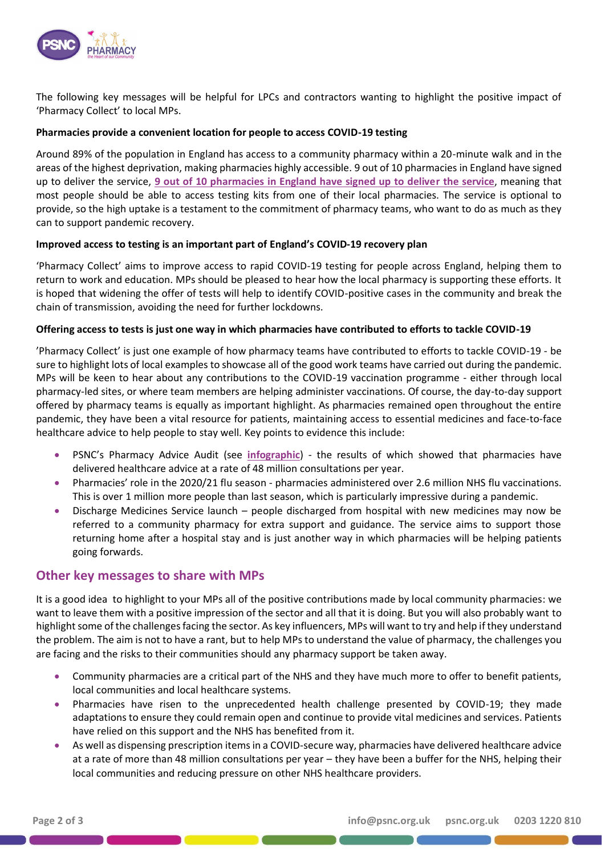

The following key messages will be helpful for LPCs and contractors wanting to highlight the positive impact of 'Pharmacy Collect' to local MPs.

## **Pharmacies provide a convenient location for people to access COVID-19 testing**

Around 89% of the population in England has access to a community pharmacy within a 20-minute walk and in the areas of the highest deprivation, making pharmacies highly accessible. 9 out of 10 pharmacies in England have signed up to deliver the service, **[9 out of 10 pharmacies in England have signed up to deliver the service](https://www.gov.uk/government/news/9-in-10-pharmacies-now-offering-free-rapid-coronavirus-covid-19-tests)**, meaning that most people should be able to access testing kits from one of their local pharmacies. The service is optional to provide, so the high uptake is a testament to the commitment of pharmacy teams, who want to do as much as they can to support pandemic recovery.

### **Improved access to testing is an important part of England's COVID-19 recovery plan**

'Pharmacy Collect' aims to improve access to rapid COVID-19 testing for people across England, helping them to return to work and education. MPs should be pleased to hear how the local pharmacy is supporting these efforts. It is hoped that widening the offer of tests will help to identify COVID-positive cases in the community and break the chain of transmission, avoiding the need for further lockdowns.

### **Offering access to tests is just one way in which pharmacies have contributed to efforts to tackle COVID-19**

'Pharmacy Collect' is just one example of how pharmacy teams have contributed to efforts to tackle COVID-19 - be sure to highlight lots of local examples to showcase all of the good work teams have carried out during the pandemic. MPs will be keen to hear about any contributions to the COVID-19 vaccination programme - either through local pharmacy-led sites, or where team members are helping administer vaccinations. Of course, the day-to-day support offered by pharmacy teams is equally as important highlight. As pharmacies remained open throughout the entire pandemic, they have been a vital resource for patients, maintaining access to essential medicines and face-to-face healthcare advice to help people to stay well. Key points to evidence this include:

- PSNC's Pharmacy Advice Audit (see **infographic**) the results of which showed that pharmacies have delivered healthcare advice at a rate of 48 million consultations per year.
- Pharmacies' role in the 2020/21 flu season pharmacies administered over 2.6 million NHS flu vaccinations. This is over 1 million more people than last season, which is particularly impressive during a pandemic.
- Discharge Medicines Service launch people discharged from hospital with new medicines may now be referred to a community pharmacy for extra support and guidance. The service aims to support those returning home after a hospital stay and is just another way in which pharmacies will be helping patients going forwards.

## **Other key messages to share with MPs**

It is a good idea to highlight to your MPs all of the positive contributions made by local community pharmacies: we want to leave them with a positive impression of the sector and all that it is doing. But you will also probably want to highlight some of the challenges facing the sector. As key influencers, MPs will want to try and help if they understand the problem. The aim is not to have a rant, but to help MPs to understand the value of pharmacy, the challenges you are facing and the risks to their communities should any pharmacy support be taken away.

- Community pharmacies are a critical part of the NHS and they have much more to offer to benefit patients, local communities and local healthcare systems.
- Pharmacies have risen to the unprecedented health challenge presented by COVID-19; they made adaptations to ensure they could remain open and continue to provide vital medicines and services. Patients have relied on this support and the NHS has benefited from it.
- As well as dispensing prescription items in a COVID-secure way, pharmacies have delivered healthcare advice at a rate of more than 48 million consultations per year – they have been a buffer for the NHS, helping their local communities and reducing pressure on other NHS healthcare providers.